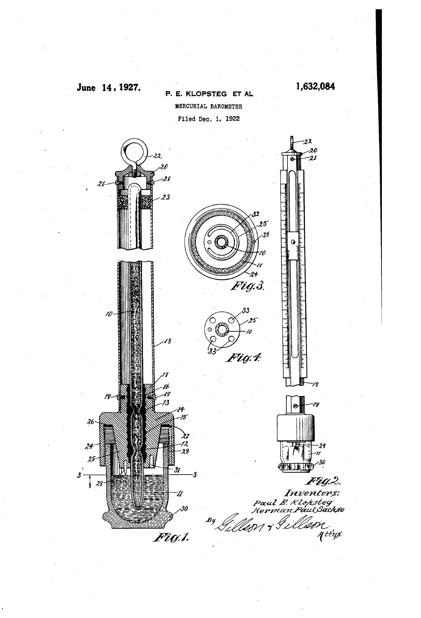

June 14, 1927.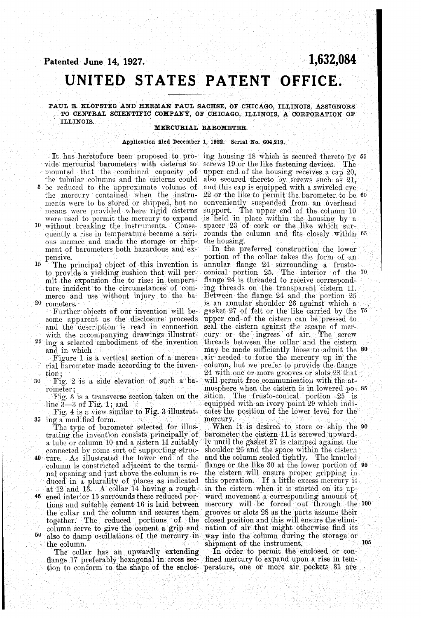### Patented June 14, 1927.

# 1,632,084

# UNITED STATES PATENT OFFICE.

### PAUL E. KLOPSTEG AND HERMAN PAUL SACHSE, OF CHICAGO, ILLINOIS, ASSIGNORS TO CENTRAL SCIENTIFIC COMPANY, OF CHICAGO, ILLINOIS, A CORPORATION OF **ILLINOIS.**

### MERCURIAL BAROMETER.

#### Application filed December 1, 1922. Serial No. 604,219.

vide mercurial barometers with cisterns so mounted that the combined capacity of the tubular columns and the cisterns could be reduced to the approximate volume of

- the mercury contained when the instruments were to be stored or shipped, but no means were provided where rigid cisterns were used to permit the mercury to expand
- 10 without breaking the instruments. Consequently a rise in temperature became a serious menace and made the storage or shipment of barometers both hazardous and expensive.
- 15 to provide a yielding cushion that will permit the expansion due to rises in temperature incident to the circumstances of commerce and use without injury to the ba-20 rometers.
	- Further objects of our invention will become apparent as the disclosure proceeds and the description is read in connection seal the cistern against the escape of merwith the accompanying drawings illustrat-
- <sup>25</sup> ing a selected embodiment of the invention and in which

Figure 1 is a vertical section of a mercurial barometer made according to the invention

- 30 Fig. 2 is a side elevation of such a barometer:
	- Fig. 3 is a transverse section taken on the line  $3-3$  of Fig. 1; and
- Fig. 4 is a view similar to Fig. 3 illustrating a modified form. 35

The type of barometer selected for illustrating the invention consists principally of a tube or column 10 and a cistern 11 suitably connected by some sort of supporting struc-

- 40 ture. As illustrated the lower end of the column is constricted adjacent to the terminal opening and just above the column is reduced in a plurality of places as indicated<br>at 12 and 13. A collar 14 having a rough-
- 45 ened interior 15 surrounds these reduced porthe collar and the column and secures them grooves or slots 28 as the parts assume their together. The reduced portions of the column serve to give the cement a grip and nation of air that might otherwise find its  $50$ also to damp oscillations of the mercury in the column.

The collar has an upwardly extending flange 17 preferably hexagonal in cross sec- fined mercury to expand upon a rise in tem-

It has heretofore been proposed to pro- ing housing 18 which is secured thereto by 55 screws 19 or the like fastening devices. The upper end of the housing receives a cap 20, also secured thereto by screws such as 21. and this cap is equipped with a swiveled eye  $22$  or the like to permit the barometer to be  $60$ conveniently suspended from an overhead support. The upper end of the column 10 is held in place within the housing by a<br>spacer 23 of cork or the like which surrounds the column and fits closely within 65 the housing.

In the preferred construction the lower portion of the collar takes the form of an The principal object of this invention is annular flange 24 surrounding a frustoconical portion 25. The interior of the 70 flange 24 is threaded to receive corresponding threads on the transparent cistern 11. Between the flange 24 and the portion 25 is an annular shoulder 26 against which a gasket 27 of felt or the like carried by the 75 upper end of the cistern can be pressed to cury or the ingress of air. The screw threads between the collar and the cistern<br>may be made sufficiently loose to admit the 80 air needed to force the mercury up in the column, but we prefer to provide the flange 24 with one or more grooves or slots 28 that will permit free communication with the atmosphere when the cistern is in lowered po- 85 The frusto-conical portion 25 is sition. equipped with an ivory point 29 which indicates the position of the lower level for the mercury

When it is desired to store or ship the 90 barometer the cistern 11 is screwed upwardly until the gasket 27 is clamped against the shoulder 26 and the space within the cistern<br>and the column sealed tightly. The knurled flange or the like 30 at the lower portion of 95 the cistern will ensure proper gripping in this operation. If a little excess mercury is in the cistern when it is started on its upward movement a corresponding amount of tions and suitable cement 16 is laid between mercury will be forced out through the 100 closed position and this will ensure the elimiway into the column during the storage or 105 shipment of the instrument.

In order to permit the enclosed or contion to conform to the shape of the enclos- perature, one or more air pockets 31 are